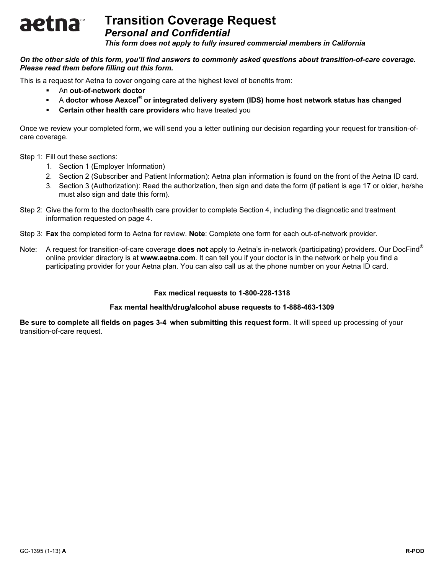## aetna Personal and Confidential

This form does not apply to fully insured commercial members in California

## On the other side of this form, you'll find answers to commonly asked questions about transition-of-care coverage. Please read them before filling out this form.

This is a request for Aetna to cover ongoing care at the highest level of benefits from: -

- An out-of-network doctor -
- A doctor whose Aexcel® or integrated delivery system (IDS) home host network status has changed
- -Certain other health care providers who have treated you

Once we review your completed form, we will send you a letter outlining our decision regarding your request for transition-ofcare coverage.

Step 1: Fill out these sections:

- 1. Section 1 (Employer Information)
- 2. Section 2 (Subscriber and Patient Information): Aetna plan information is found on the front of the Aetna ID card.
- 3. Section 3 (Authorization): Read the authorization, then sign and date the form (if patient is age 17 or older, he/she must also sign and date this form).
- Step 2: Give the form to the doctor/health care provider to complete Section 4, including the diagnostic and treatment information requested on page 4.
- Step 3: Fax the completed form to Aetna for review. Note: Complete one form for each out-of-network provider.
- Note: A request for transition-of-care coverage **does not** apply to Aetna's in-network (participating) providers. Our DocFind<sup>®</sup> online provider directory is at www.aetna.com. It can tell you if your doctor is in the network or help you find a participating provider for your Aetna plan. You can also call us at the phone number on your Aetna ID card.

## Fax medical requests to 1-800-228-1318

## Fax mental health/drug/alcohol abuse requests to 1-888-463-1309

Be sure to complete all fields on pages 3-4 when submitting this request form. It will speed up processing of your transition-of-care request.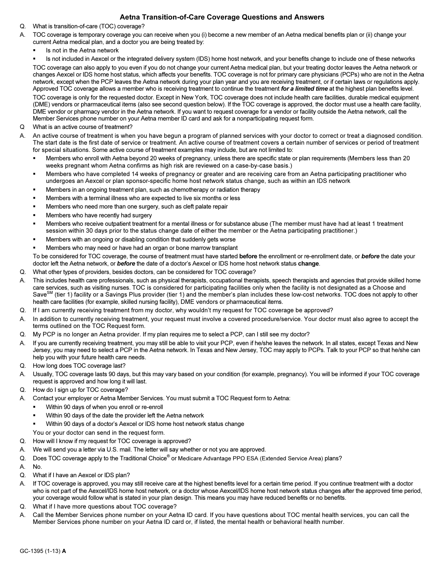## Aetna Transition-of-Care Coverage Questions and Answers

- Q. What is transition-of-care (TOC) coverage?
- A. TOC coverage is temporary coverage you can receive when you (i) become a new member of an Aetna medical benefits plan or (ii) change your current Aetna medical plan, and a doctor you are being treated by: -
	- Is not in the Aetna network -

 Is not included in Aexcel or the integrated delivery system (IDS) home host network, and your benefits change to include one of these networks TOC coverage can also apply to you even if you do not change your current Aetna medical plan, but your treating doctor leaves the Aetna network or changes Aexcel or IDS home host status, which affects your benefits. TOC coverage is not for primary care physicians (PCPs) who are not in the Aetna network, except when the PCP leaves the Aetna network during your plan year and you are receiving treatment, or if certain laws or regulations apply. Approved TOC coverage allows a member who is receiving treatment to continue the treatment for a limited time at the highest plan benefits level. TOC coverage is only for the requested doctor. Except in New York, TOC coverage does not include health care facilities, durable medical equipment (DME) vendors or pharmaceutical items (also see second question below). If the TOC coverage is approved, the doctor must use a health care facility, DME vendor or pharmacy vendor in the Aetna network. If you want to request coverage for a vendor or facility outside the Aetna network, call the

- Member Services phone number on your Aetna member ID card and ask for a nonparticipating request form. Q What is an active course of treatment?
- A. An active course of treatment is when you have begun a program of planned services with your doctor to correct or treat a diagnosed condition. The start date is the first date of service or treatment. An active course of treatment covers a certain number of services or period of treatment for special situations. Some active course of treatment examples may include, but are not limited to: -
	- Members who enroll with Aetna beyond 20 weeks of pregnancy, unless there are specific state or plan requirements (Members less than 20 weeks pregnant whom Aetna confirms as high risk are reviewed on a case-by-case basis.)
	- Members who have completed 14 weeks of pregnancy or greater and are receiving care from an Aetna participating practitioner who undergoes an Aexcel or plan sponsor-specific home host network status change, such as within an IDS network
	- Members in an ongoing treatment plan, such as chemotherapy or radiation therapy -
	- Members with a terminal illness who are expected to live six months or less -
	- Members who need more than one surgery, such as cleft palate repair -
	- Members who have recently had surgery -
	- Members who receive outpatient treatment for a mental illness or for substance abuse (The member must have had at least 1 treatment session within 30 days prior to the status change date of either the member or the Aetna participating practitioner.)
	- Members with an ongoing or disabling condition that suddenly gets worse -
	- Members who may need or have had an organ or bone marrow transplant

To be considered for TOC coverage, the course of treatment must have started before the enrollment or re-enrollment date, or before the date your doctor left the Aetna network, or before the date of a doctor's Aexcel or IDS home host network status change.

- Q. What other types of providers, besides doctors, can be considered for TOC coverage?
- A. This includes health care professionals, such as physical therapists, occupational therapists, speech therapists and agencies that provide skilled home care services, such as visiting nurses. TOC is considered for participating facilities only when the facility is not designated as a Choose and<br>Save<sup>SM</sup> (tier 1) facility or a Savings Plus provider (tier 1) and the member' If (tier 1) facility or a Savings Plus provider (tier 1) and the member's plan includes these low-cost networks. TOC does not apply to other health care facilities (for example, skilled nursing facility), DME vendors or pharmaceutical items.
- Q. If I am currently receiving treatment from my doctor, why wouldn't my request for TOC coverage be approved?
- A. In addition to currently receiving treatment, your request must involve a covered procedure/service. Your doctor must also agree to accept the terms outlined on the TOC Request form.
- Q. My PCP is no longer an Aetna provider. If my plan requires me to select a PCP, can I still see my doctor?
- A. If you are currently receiving treatment, you may still be able to visit your PCP, even if he/she leaves the network. In all states, except Texas and New Jersey, you may need to select a PCP in the Aetna network. In Texas and New Jersey, TOC may apply to PCPs. Talk to your PCP so that he/she can help you with your future health care needs.
- Q. How long does TOC coverage last?
- A. Usually, TOC coverage lasts 90 days, but this may vary based on your condition (for example, pregnancy). You will be informed if your TOC coverage request is approved and how long it will last.
- Q. How do I sign up for TOC coverage?
- A. Contact your employer or Aetna Member Services. You must submit a TOC Request form to Aetna:
	- Within 90 days of when you enroll or re-enroll -
	- Within 90 days of the date the provider left the Aetna network -
	- Within 90 days of a doctor's Aexcel or IDS home host network status change

You or your doctor can send in the request form.

- Q. How will I know if my request for TOC coverage is approved?
- A. We will send you a letter via U.S. mail. The letter will say whether or not you are approved.
- Q. Does TOC coverage apply to the Traditional Choice® or Medicare Advantage PPO ESA (Extended Service Area) plans?
- A. No.
- Q. What if I have an Aexcel or IDS plan?
- A. If TOC coverage is approved, you may still receive care at the highest benefits level for a certain time period. If you continue treatment with a doctor who is not part of the Aexcel/IDS home host network, or a doctor whose Aexcel/IDS home host network status changes after the approved time period, your coverage would follow what is stated in your plan design. This means you may have reduced benefits or no benefits.
- Q. What if I have more questions about TOC coverage?
- A. Call the Member Services phone number on your Aetna ID card. If you have questions about TOC mental health services, you can call the Member Services phone number on your Aetna ID card or, if listed, the mental health or behavioral health number.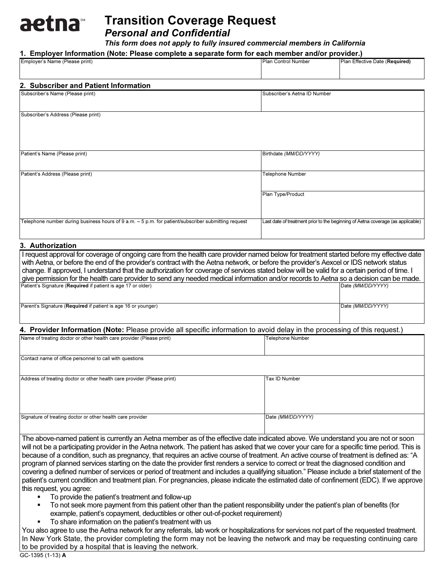# **aetna** Personal and Confidential

This form does not apply to fully insured commercial members in California

## 1. Employer Information (Note: Please complete a separate form for each member and/or provider.)

| 1. Employer Information (Note: Please complete a separate form for each member and/or provider.)                                                                                                                                                                                                                                                                                                                                                                                                                                                                                                                                                                                                                                                                                                                                                                                          |                                                                                 |                                |  |  |  |
|-------------------------------------------------------------------------------------------------------------------------------------------------------------------------------------------------------------------------------------------------------------------------------------------------------------------------------------------------------------------------------------------------------------------------------------------------------------------------------------------------------------------------------------------------------------------------------------------------------------------------------------------------------------------------------------------------------------------------------------------------------------------------------------------------------------------------------------------------------------------------------------------|---------------------------------------------------------------------------------|--------------------------------|--|--|--|
| Employer's Name (Please print)                                                                                                                                                                                                                                                                                                                                                                                                                                                                                                                                                                                                                                                                                                                                                                                                                                                            | <b>Plan Control Number</b>                                                      | Plan Effective Date (Required) |  |  |  |
|                                                                                                                                                                                                                                                                                                                                                                                                                                                                                                                                                                                                                                                                                                                                                                                                                                                                                           |                                                                                 |                                |  |  |  |
| 2. Subscriber and Patient Information                                                                                                                                                                                                                                                                                                                                                                                                                                                                                                                                                                                                                                                                                                                                                                                                                                                     |                                                                                 |                                |  |  |  |
| Subscriber's Name (Please print)                                                                                                                                                                                                                                                                                                                                                                                                                                                                                                                                                                                                                                                                                                                                                                                                                                                          | Subscriber's Aetna ID Number                                                    |                                |  |  |  |
| Subscriber's Address (Please print)                                                                                                                                                                                                                                                                                                                                                                                                                                                                                                                                                                                                                                                                                                                                                                                                                                                       |                                                                                 |                                |  |  |  |
| Patient's Name (Please print)                                                                                                                                                                                                                                                                                                                                                                                                                                                                                                                                                                                                                                                                                                                                                                                                                                                             | Birthdate (MM/DD/YYYY)                                                          |                                |  |  |  |
| Patient's Address (Please print)                                                                                                                                                                                                                                                                                                                                                                                                                                                                                                                                                                                                                                                                                                                                                                                                                                                          | <b>Telephone Number</b>                                                         |                                |  |  |  |
|                                                                                                                                                                                                                                                                                                                                                                                                                                                                                                                                                                                                                                                                                                                                                                                                                                                                                           | Plan Type/Product                                                               |                                |  |  |  |
| Telephone number during business hours of 9 a.m. - 5 p.m. for patient/subscriber submitting request                                                                                                                                                                                                                                                                                                                                                                                                                                                                                                                                                                                                                                                                                                                                                                                       | Last date of treatment prior to the beginning of Aetna coverage (as applicable) |                                |  |  |  |
| 3. Authorization                                                                                                                                                                                                                                                                                                                                                                                                                                                                                                                                                                                                                                                                                                                                                                                                                                                                          |                                                                                 |                                |  |  |  |
| I request approval for coverage of ongoing care from the health care provider named below for treatment started before my effective date<br>with Aetna, or before the end of the provider's contract with the Aetna network, or before the provider's Aexcel or IDS network status<br>change. If approved, I understand that the authorization for coverage of services stated below will be valid for a certain period of time. I<br>give permission for the health care provider to send any needed medical information and/or records to Aetna so a decision can be made.<br>Patient's Signature (Required if patient is age 17 or older)<br>Date (MM/DD/YYYY)                                                                                                                                                                                                                         |                                                                                 |                                |  |  |  |
| Parent's Signature (Required if patient is age 16 or younger)                                                                                                                                                                                                                                                                                                                                                                                                                                                                                                                                                                                                                                                                                                                                                                                                                             |                                                                                 | Date (MM/DD/YYYY)              |  |  |  |
| 4. Provider Information (Note: Please provide all specific information to avoid delay in the processing of this request.)                                                                                                                                                                                                                                                                                                                                                                                                                                                                                                                                                                                                                                                                                                                                                                 |                                                                                 |                                |  |  |  |
| Name of treating doctor or other health care provider (Please print)                                                                                                                                                                                                                                                                                                                                                                                                                                                                                                                                                                                                                                                                                                                                                                                                                      | <b>Telephone Number</b>                                                         |                                |  |  |  |
| Contact name of office personnel to call with questions                                                                                                                                                                                                                                                                                                                                                                                                                                                                                                                                                                                                                                                                                                                                                                                                                                   |                                                                                 |                                |  |  |  |
| Address of treating doctor or other health care provider (Please print)                                                                                                                                                                                                                                                                                                                                                                                                                                                                                                                                                                                                                                                                                                                                                                                                                   | Tax ID Number                                                                   |                                |  |  |  |
| Signature of treating doctor or other health care provider                                                                                                                                                                                                                                                                                                                                                                                                                                                                                                                                                                                                                                                                                                                                                                                                                                | Date (MM/DD/YYYY)                                                               |                                |  |  |  |
| The above-named patient is currently an Aetna member as of the effective date indicated above. We understand you are not or soon<br>will not be a participating provider in the Aetna network. The patient has asked that we cover your care for a specific time period. This is<br>because of a condition, such as pregnancy, that requires an active course of treatment. An active course of treatment is defined as: "A<br>program of planned services starting on the date the provider first renders a service to correct or treat the diagnosed condition and<br>covering a defined number of services or period of treatment and includes a qualifying situation." Please include a brief statement of the<br>patient's current condition and treatment plan. For pregnancies, please indicate the estimated date of confinement (EDC). If we approve<br>this request, you agree: |                                                                                 |                                |  |  |  |

- To provide the patient's treatment and follow-up -
- To not seek more payment from this patient other than the patient responsibility under the patient's plan of benefits (for example, patient's copayment, deductibles or other out-of-pocket requirement)
- To share information on the patient's treatment with us

You also agree to use the Aetna network for any referrals, lab work or hospitalizations for services not part of the requested treatment. In New York State, the provider completing the form may not be leaving the network and may be requesting continuing care to be provided by a hospital that is leaving the network.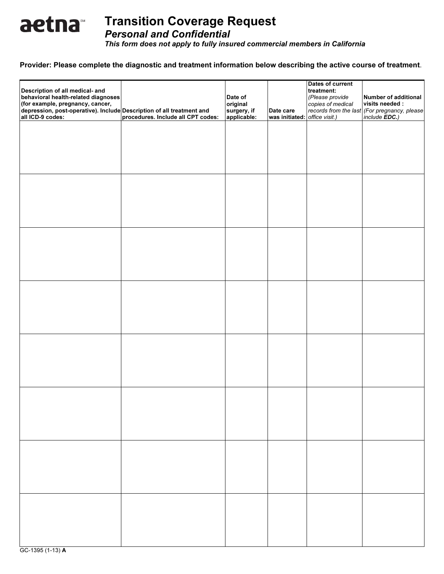

Personal and Confidential

This form does not apply to fully insured commercial members in California

## Provider: Please complete the diagnostic and treatment information below describing the active course of treatment.

| Description of all medical- and<br>behavioral health-related diagnoses<br>(for example, pregnancy, cancer,<br>depression, post-operative). Include Description of all treatment and<br>all ICD-9 codes: | procedures. Include all CPT codes: | Date of<br>original<br>surgery, if<br>applicable: | Date care<br>was initiated: office visit.) | Dates of current<br>treatment:<br>(Please provide<br>copies of medical | Number of additional<br>visits needed :<br>records from the last (For pregnancy, please<br>include <b>EDC.</b> ) |
|---------------------------------------------------------------------------------------------------------------------------------------------------------------------------------------------------------|------------------------------------|---------------------------------------------------|--------------------------------------------|------------------------------------------------------------------------|------------------------------------------------------------------------------------------------------------------|
|                                                                                                                                                                                                         |                                    |                                                   |                                            |                                                                        |                                                                                                                  |
|                                                                                                                                                                                                         |                                    |                                                   |                                            |                                                                        |                                                                                                                  |
|                                                                                                                                                                                                         |                                    |                                                   |                                            |                                                                        |                                                                                                                  |
|                                                                                                                                                                                                         |                                    |                                                   |                                            |                                                                        |                                                                                                                  |
|                                                                                                                                                                                                         |                                    |                                                   |                                            |                                                                        |                                                                                                                  |
|                                                                                                                                                                                                         |                                    |                                                   |                                            |                                                                        |                                                                                                                  |
|                                                                                                                                                                                                         |                                    |                                                   |                                            |                                                                        |                                                                                                                  |
|                                                                                                                                                                                                         |                                    |                                                   |                                            |                                                                        |                                                                                                                  |
|                                                                                                                                                                                                         |                                    |                                                   |                                            |                                                                        |                                                                                                                  |
|                                                                                                                                                                                                         |                                    |                                                   |                                            |                                                                        |                                                                                                                  |

GC-1395 (1-13) A